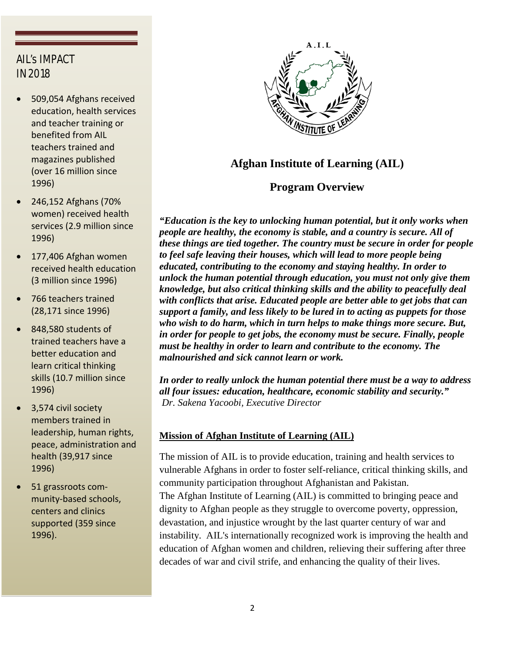## AIL's IMPACT IN 2018

- 509,054 Afghans received education, health services and teacher training or benefited from AIL teachers trained and magazines published (over 16 million since 1996)
- 246,152 Afghans (70% women) received health services (2.9 million since 1996)
- 177,406 Afghan women received health education (3 million since 1996)
- 766 teachers trained (28,171 since 1996)
- 848,580 students of trained teachers have a better education and learn critical thinking skills (10.7 million since 1996)
- 3,574 civil society members trained in leadership, human rights, peace, administration and health (39,917 since 1996)
- 51 grassroots community-based schools, centers and clinics supported (359 since 1996).



# **Afghan Institute of Learning (AIL)**

## **Program Overview**

*"Education is the key to unlocking human potential, but it only works when people are healthy, the economy is stable, and a country is secure. All of these things are tied together. The country must be secure in order for people to feel safe leaving their houses, which will lead to more people being educated, contributing to the economy and staying healthy. In order to unlock the human potential through education, you must not only give them knowledge, but also critical thinking skills and the ability to peacefully deal with conflicts that arise. Educated people are better able to get jobs that can support a family, and less likely to be lured in to acting as puppets for those who wish to do harm, which in turn helps to make things more secure. But, in order for people to get jobs, the economy must be secure. Finally, people must be healthy in order to learn and contribute to the economy. The malnourished and sick cannot learn or work.*

*In order to really unlock the human potential there must be a way to address all four issues: education, healthcare, economic stability and security." Dr. Sakena Yacoobi, Executive Director*

## **Mission of Afghan Institute of Learning (AIL)**

The mission of AIL is to provide education, training and health services to vulnerable Afghans in order to foster self-reliance, critical thinking skills, and community participation throughout Afghanistan and Pakistan. The Afghan Institute of Learning (AIL) is committed to bringing peace and dignity to Afghan people as they struggle to overcome poverty, oppression, devastation, and injustice wrought by the last quarter century of war and instability. AIL's internationally recognized work is improving the health and education of Afghan women and children, relieving their suffering after three decades of war and civil strife, and enhancing the quality of their lives.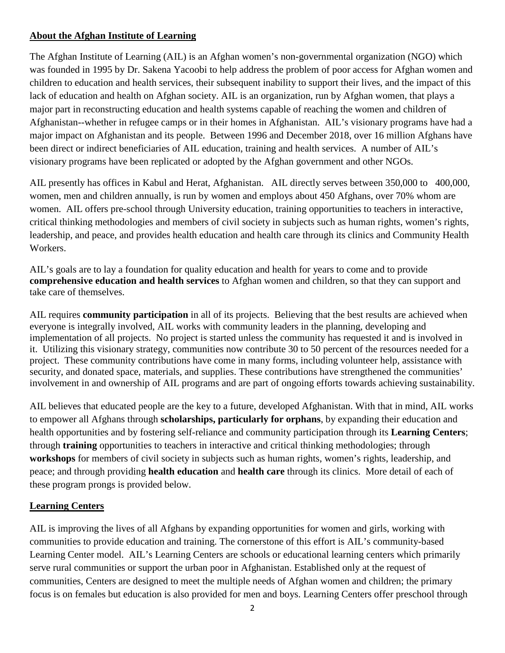## **About the Afghan Institute of Learning**

The Afghan Institute of Learning (AIL) is an Afghan women's non-governmental organization (NGO) which was founded in 1995 by Dr. Sakena Yacoobi to help address the problem of poor access for Afghan women and children to education and health services, their subsequent inability to support their lives, and the impact of this lack of education and health on Afghan society. AIL is an organization, run by Afghan women, that plays a major part in reconstructing education and health systems capable of reaching the women and children of Afghanistan--whether in refugee camps or in their homes in Afghanistan. AIL's visionary programs have had a major impact on Afghanistan and its people. Between 1996 and December 2018, over 16 million Afghans have been direct or indirect beneficiaries of AIL education, training and health services. A number of AIL's visionary programs have been replicated or adopted by the Afghan government and other NGOs.

AIL presently has offices in Kabul and Herat, Afghanistan. AIL directly serves between 350,000 to 400,000, women, men and children annually, is run by women and employs about 450 Afghans, over 70% whom are women. AIL offers pre-school through University education, training opportunities to teachers in interactive, critical thinking methodologies and members of civil society in subjects such as human rights, women's rights, leadership, and peace, and provides health education and health care through its clinics and Community Health Workers.

AIL's goals are to lay a foundation for quality education and health for years to come and to provide **comprehensive education and health services** to Afghan women and children, so that they can support and take care of themselves.

AIL requires **community participation** in all of its projects. Believing that the best results are achieved when everyone is integrally involved, AIL works with community leaders in the planning, developing and implementation of all projects. No project is started unless the community has requested it and is involved in it. Utilizing this visionary strategy, communities now contribute 30 to 50 percent of the resources needed for a project. These community contributions have come in many forms, including volunteer help, assistance with security, and donated space, materials, and supplies. These contributions have strengthened the communities' involvement in and ownership of AIL programs and are part of ongoing efforts towards achieving sustainability.

AIL believes that educated people are the key to a future, developed Afghanistan. With that in mind, AIL works to empower all Afghans through **scholarships, particularly for orphans**, by expanding their education and health opportunities and by fostering self-reliance and community participation through its **Learning Centers**; through **training** opportunities to teachers in interactive and critical thinking methodologies; through **workshops** for members of civil society in subjects such as human rights, women's rights, leadership, and peace; and through providing **health education** and **health care** through its clinics. More detail of each of these program prongs is provided below.

### **Learning Centers**

AIL is improving the lives of all Afghans by expanding opportunities for women and girls, working with communities to provide education and training. The cornerstone of this effort is AIL's community-based Learning Center model. AIL's Learning Centers are schools or educational learning centers which primarily serve rural communities or support the urban poor in Afghanistan. Established only at the request of communities, Centers are designed to meet the multiple needs of Afghan women and children; the primary focus is on females but education is also provided for men and boys. Learning Centers offer preschool through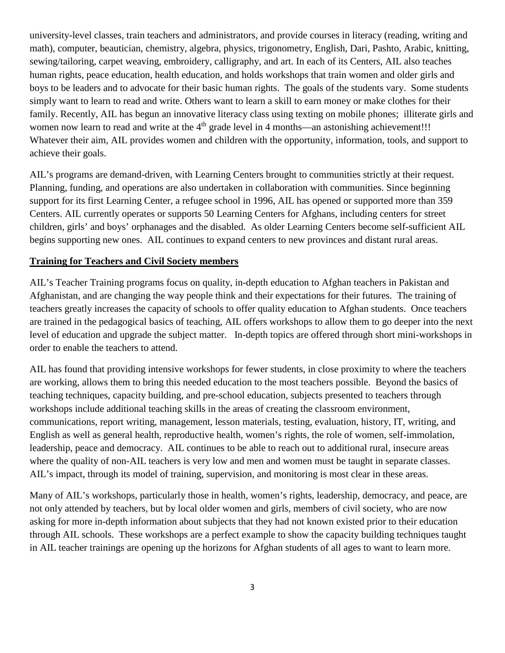university-level classes, train teachers and administrators, and provide courses in literacy (reading, writing and math), computer, beautician, chemistry, algebra, physics, trigonometry, English, Dari, Pashto, Arabic, knitting, sewing/tailoring, carpet weaving, embroidery, calligraphy, and art. In each of its Centers, AIL also teaches human rights, peace education, health education, and holds workshops that train women and older girls and boys to be leaders and to advocate for their basic human rights. The goals of the students vary. Some students simply want to learn to read and write. Others want to learn a skill to earn money or make clothes for their family. Recently, AIL has begun an innovative literacy class using texting on mobile phones; illiterate girls and women now learn to read and write at the 4<sup>th</sup> grade level in 4 months—an astonishing achievement!!! Whatever their aim, AIL provides women and children with the opportunity, information, tools, and support to achieve their goals.

AIL's programs are demand-driven, with Learning Centers brought to communities strictly at their request. Planning, funding, and operations are also undertaken in collaboration with communities. Since beginning support for its first Learning Center, a refugee school in 1996, AIL has opened or supported more than 359 Centers. AIL currently operates or supports 50 Learning Centers for Afghans, including centers for street children, girls' and boys' orphanages and the disabled. As older Learning Centers become self-sufficient AIL begins supporting new ones. AIL continues to expand centers to new provinces and distant rural areas.

#### **Training for Teachers and Civil Society members**

AIL's Teacher Training programs focus on quality, in-depth education to Afghan teachers in Pakistan and Afghanistan, and are changing the way people think and their expectations for their futures. The training of teachers greatly increases the capacity of schools to offer quality education to Afghan students. Once teachers are trained in the pedagogical basics of teaching, AIL offers workshops to allow them to go deeper into the next level of education and upgrade the subject matter. In-depth topics are offered through short mini-workshops in order to enable the teachers to attend.

AIL has found that providing intensive workshops for fewer students, in close proximity to where the teachers are working, allows them to bring this needed education to the most teachers possible. Beyond the basics of teaching techniques, capacity building, and pre-school education, subjects presented to teachers through workshops include additional teaching skills in the areas of creating the classroom environment, communications, report writing, management, lesson materials, testing, evaluation, history, IT, writing, and English as well as general health, reproductive health, women's rights, the role of women, self-immolation, leadership, peace and democracy. AIL continues to be able to reach out to additional rural, insecure areas where the quality of non-AIL teachers is very low and men and women must be taught in separate classes. AIL's impact, through its model of training, supervision, and monitoring is most clear in these areas.

Many of AIL's workshops, particularly those in health, women's rights, leadership, democracy, and peace, are not only attended by teachers, but by local older women and girls, members of civil society, who are now asking for more in-depth information about subjects that they had not known existed prior to their education through AIL schools. These workshops are a perfect example to show the capacity building techniques taught in AIL teacher trainings are opening up the horizons for Afghan students of all ages to want to learn more.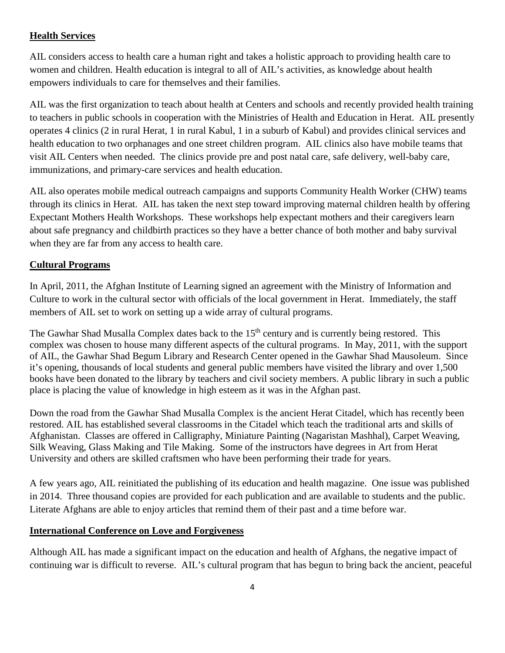## **Health Services**

AIL considers access to health care a human right and takes a holistic approach to providing health care to women and children. Health education is integral to all of AIL's activities, as knowledge about health empowers individuals to care for themselves and their families.

AIL was the first organization to teach about health at Centers and schools and recently provided health training to teachers in public schools in cooperation with the Ministries of Health and Education in Herat. AIL presently operates 4 clinics (2 in rural Herat, 1 in rural Kabul, 1 in a suburb of Kabul) and provides clinical services and health education to two orphanages and one street children program. AIL clinics also have mobile teams that visit AIL Centers when needed. The clinics provide pre and post natal care, safe delivery, well-baby care, immunizations, and primary-care services and health education.

AIL also operates mobile medical outreach campaigns and supports Community Health Worker (CHW) teams through its clinics in Herat. AIL has taken the next step toward improving maternal children health by offering Expectant Mothers Health Workshops. These workshops help expectant mothers and their caregivers learn about safe pregnancy and childbirth practices so they have a better chance of both mother and baby survival when they are far from any access to health care.

## **Cultural Programs**

In April, 2011, the Afghan Institute of Learning signed an agreement with the Ministry of Information and Culture to work in the cultural sector with officials of the local government in Herat. Immediately, the staff members of AIL set to work on setting up a wide array of cultural programs.

The Gawhar Shad Musalla Complex dates back to the 15<sup>th</sup> century and is currently being restored. This complex was chosen to house many different aspects of the cultural programs. In May, 2011, with the support of AIL, the Gawhar Shad Begum Library and Research Center opened in the Gawhar Shad Mausoleum. Since it's opening, thousands of local students and general public members have visited the library and over 1,500 books have been donated to the library by teachers and civil society members. A public library in such a public place is placing the value of knowledge in high esteem as it was in the Afghan past.

Down the road from the Gawhar Shad Musalla Complex is the ancient Herat Citadel, which has recently been restored. AIL has established several classrooms in the Citadel which teach the traditional arts and skills of Afghanistan. Classes are offered in Calligraphy, Miniature Painting (Nagaristan Mashhal), Carpet Weaving, Silk Weaving, Glass Making and Tile Making. Some of the instructors have degrees in Art from Herat University and others are skilled craftsmen who have been performing their trade for years.

A few years ago, AIL reinitiated the publishing of its education and health magazine. One issue was published in 2014. Three thousand copies are provided for each publication and are available to students and the public. Literate Afghans are able to enjoy articles that remind them of their past and a time before war.

### **International Conference on Love and Forgiveness**

Although AIL has made a significant impact on the education and health of Afghans, the negative impact of continuing war is difficult to reverse. AIL's cultural program that has begun to bring back the ancient, peaceful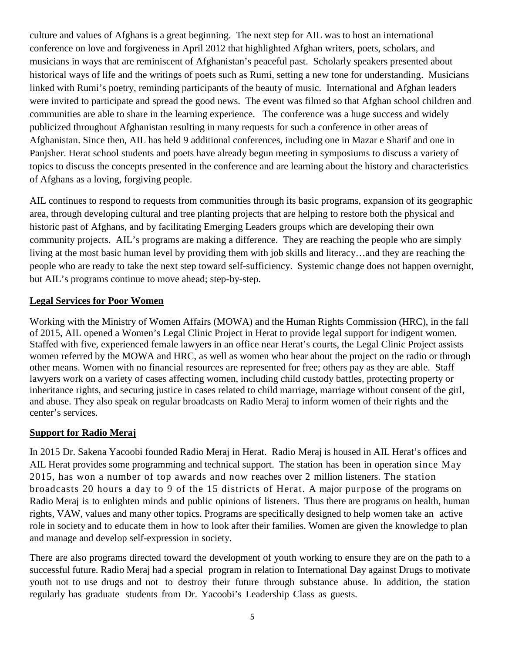culture and values of Afghans is a great beginning. The next step for AIL was to host an international conference on love and forgiveness in April 2012 that highlighted Afghan writers, poets, scholars, and musicians in ways that are reminiscent of Afghanistan's peaceful past. Scholarly speakers presented about historical ways of life and the writings of poets such as Rumi, setting a new tone for understanding. Musicians linked with Rumi's poetry, reminding participants of the beauty of music. International and Afghan leaders were invited to participate and spread the good news. The event was filmed so that Afghan school children and communities are able to share in the learning experience. The conference was a huge success and widely publicized throughout Afghanistan resulting in many requests for such a conference in other areas of Afghanistan. Since then, AIL has held 9 additional conferences, including one in Mazar e Sharif and one in Panjsher. Herat school students and poets have already begun meeting in symposiums to discuss a variety of topics to discuss the concepts presented in the conference and are learning about the history and characteristics of Afghans as a loving, forgiving people.

AIL continues to respond to requests from communities through its basic programs, expansion of its geographic area, through developing cultural and tree planting projects that are helping to restore both the physical and historic past of Afghans, and by facilitating Emerging Leaders groups which are developing their own community projects. AIL's programs are making a difference. They are reaching the people who are simply living at the most basic human level by providing them with job skills and literacy…and they are reaching the people who are ready to take the next step toward self-sufficiency. Systemic change does not happen overnight, but AIL's programs continue to move ahead; step-by-step.

### **Legal Services for Poor Women**

Working with the Ministry of Women Affairs (MOWA) and the Human Rights Commission (HRC), in the fall of 2015, AIL opened a Women's Legal Clinic Project in Herat to provide legal support for indigent women. Staffed with five, experienced female lawyers in an office near Herat's courts, the Legal Clinic Project assists women referred by the MOWA and HRC, as well as women who hear about the project on the radio or through other means. Women with no financial resources are represented for free; others pay as they are able. Staff lawyers work on a variety of cases affecting women, including child custody battles, protecting property or inheritance rights, and securing justice in cases related to child marriage, marriage without consent of the girl, and abuse. They also speak on regular broadcasts on Radio Meraj to inform women of their rights and the center's services.

## **Support for Radio Meraj**

In 2015 Dr. Sakena Yacoobi founded Radio Meraj in Herat. Radio Meraj is housed in AIL Herat's offices and AIL Herat provides some programming and technical support. The station has been in operation since May 2015, has won a number of top awards and now reaches over 2 million listeners. The station broadcasts 20 hours a day to 9 of the 15 districts of Herat. A major purpose of the programs on Radio Meraj is to enlighten minds and public opinions of listeners. Thus there are programs on health, human rights, VAW, values and many other topics. Programs are specifically designed to help women take an active role in society and to educate them in how to look after their families. Women are given the knowledge to plan and manage and develop self-expression in society.

There are also programs directed toward the development of youth working to ensure they are on the path to a successful future. Radio Meraj had a special program in relation to International Day against Drugs to motivate youth not to use drugs and not to destroy their future through substance abuse. In addition, the station regularly has graduate students from Dr. Yacoobi's Leadership Class as guests.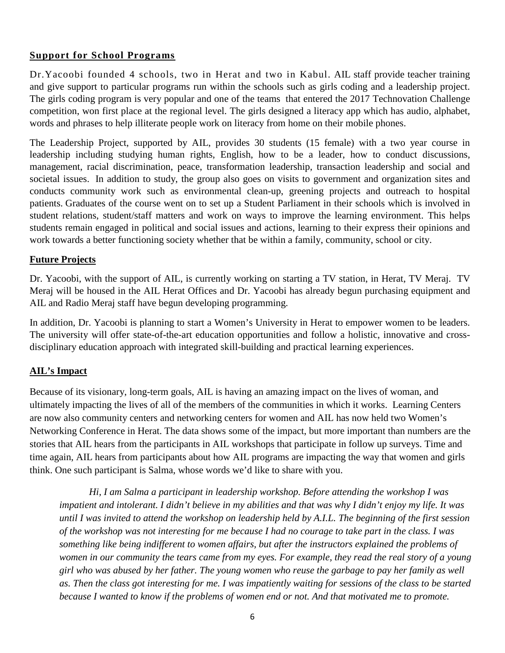### **Support for School Programs**

Dr.Yacoobi founded 4 schools, two in Herat and two in Kabul. AIL staff provide teacher training and give support to particular programs run within the schools such as girls coding and a leadership project. The girls coding program is very popular and one of the teams that entered the 2017 Technovation Challenge competition, won first place at the regional level. The girls designed a literacy app which has audio, alphabet, words and phrases to help illiterate people work on literacy from home on their mobile phones.

The Leadership Project, supported by AIL, provides 30 students (15 female) with a two year course in leadership including studying human rights, English, how to be a leader, how to conduct discussions, management, racial discrimination, peace, transformation leadership, transaction leadership and social and societal issues. In addition to study, the group also goes on visits to government and organization sites and conducts community work such as environmental clean-up, greening projects and outreach to hospital patients. Graduates of the course went on to set up a Student Parliament in their schools which is involved in student relations, student/staff matters and work on ways to improve the learning environment. This helps students remain engaged in political and social issues and actions, learning to their express their opinions and work towards a better functioning society whether that be within a family, community, school or city.

### **Future Projects**

Dr. Yacoobi, with the support of AIL, is currently working on starting a TV station, in Herat, TV Meraj. TV Meraj will be housed in the AIL Herat Offices and Dr. Yacoobi has already begun purchasing equipment and AIL and Radio Meraj staff have begun developing programming.

In addition, Dr. Yacoobi is planning to start a Women's University in Herat to empower women to be leaders. The university will offer state-of-the-art education opportunities and follow a holistic, innovative and crossdisciplinary education approach with integrated skill-building and practical learning experiences.

### **AIL's Impact**

Because of its visionary, long-term goals, AIL is having an amazing impact on the lives of woman, and ultimately impacting the lives of all of the members of the communities in which it works. Learning Centers are now also community centers and networking centers for women and AIL has now held two Women's Networking Conference in Herat. The data shows some of the impact, but more important than numbers are the stories that AIL hears from the participants in AIL workshops that participate in follow up surveys. Time and time again, AIL hears from participants about how AIL programs are impacting the way that women and girls think. One such participant is Salma, whose words we'd like to share with you.

*Hi, I am Salma a participant in leadership workshop. Before attending the workshop I was impatient and intolerant. I didn't believe in my abilities and that was why I didn't enjoy my life. It was until I was invited to attend the workshop on leadership held by A.I.L. The beginning of the first session of the workshop was not interesting for me because I had no courage to take part in the class. I was something like being indifferent to women affairs, but after the instructors explained the problems of women in our community the tears came from my eyes. For example, they read the real story of a young girl who was abused by her father. The young women who reuse the garbage to pay her family as well as. Then the class got interesting for me. I was impatiently waiting for sessions of the class to be started because I wanted to know if the problems of women end or not. And that motivated me to promote.*